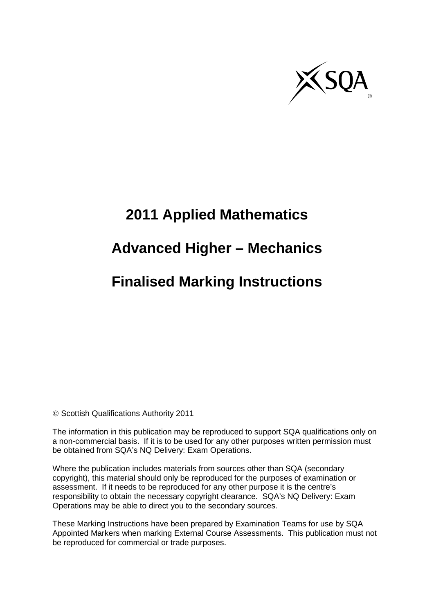

# **2011 Applied Mathematics**

## **Advanced Higher – Mechanics**

## **Finalised Marking Instructions**

© Scottish Qualifications Authority 2011

The information in this publication may be reproduced to support SQA qualifications only on a non-commercial basis. If it is to be used for any other purposes written permission must be obtained from SQA's NQ Delivery: Exam Operations.

Where the publication includes materials from sources other than SQA (secondary copyright), this material should only be reproduced for the purposes of examination or assessment. If it needs to be reproduced for any other purpose it is the centre's responsibility to obtain the necessary copyright clearance. SQA's NQ Delivery: Exam Operations may be able to direct you to the secondary sources.

These Marking Instructions have been prepared by Examination Teams for use by SQA Appointed Markers when marking External Course Assessments. This publication must not be reproduced for commercial or trade purposes.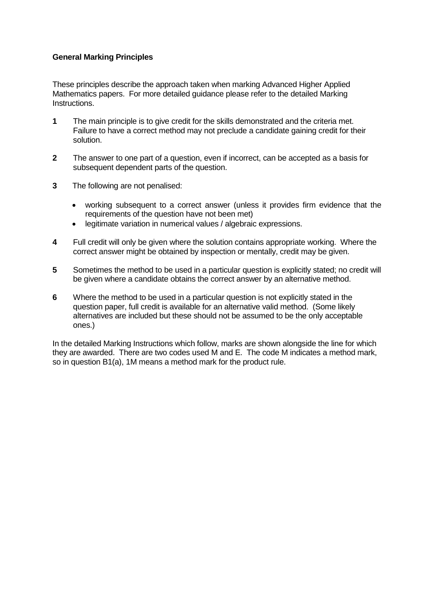#### **General Marking Principles**

These principles describe the approach taken when marking Advanced Higher Applied Mathematics papers. For more detailed guidance please refer to the detailed Marking Instructions.

- **1** The main principle is to give credit for the skills demonstrated and the criteria met. Failure to have a correct method may not preclude a candidate gaining credit for their solution.
- **2** The answer to one part of a question, even if incorrect, can be accepted as a basis for subsequent dependent parts of the question.
- **3** The following are not penalised:
	- working subsequent to a correct answer (unless it provides firm evidence that the requirements of the question have not been met)
	- legitimate variation in numerical values / algebraic expressions.
- **4** Full credit will only be given where the solution contains appropriate working. Where the correct answer might be obtained by inspection or mentally, credit may be given.
- **5** Sometimes the method to be used in a particular question is explicitly stated; no credit will be given where a candidate obtains the correct answer by an alternative method.
- **6** Where the method to be used in a particular question is not explicitly stated in the question paper, full credit is available for an alternative valid method. (Some likely alternatives are included but these should not be assumed to be the only acceptable ones.)

In the detailed Marking Instructions which follow, marks are shown alongside the line for which they are awarded. There are two codes used M and E. The code M indicates a method mark, so in question B1(a), 1M means a method mark for the product rule.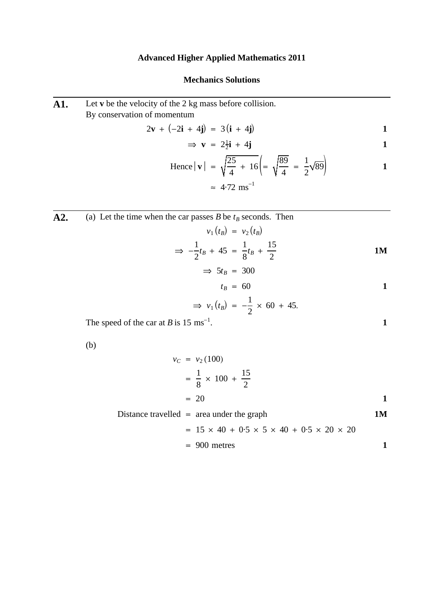### **Advanced Higher Applied Mathematics 2011**

#### **Mechanics Solutions**

| A1. | Let $\bf{v}$ be the velocity of the 2 kg mass before collision.<br>By conservation of momentum |              |
|-----|------------------------------------------------------------------------------------------------|--------------|
|     | $2\mathbf{v} + (-2\mathbf{i} + 4\mathbf{j}) = 3(\mathbf{i} + 4\mathbf{j})$                     | 1            |
|     | $\Rightarrow$ <b>v</b> = $2\frac{1}{2}$ <b>i</b> + 4 <b>i</b>                                  | 1            |
|     | Hence $ \mathbf{v}  = \sqrt{\frac{25}{4} + 16} = \sqrt{\frac{89}{4}} = \frac{1}{2}\sqrt{89}$   | 1            |
|     | $\approx 4.72$ ms <sup>-1</sup>                                                                |              |
|     |                                                                                                |              |
| A2. | (a) Let the time when the car passes B be $t_B$ seconds. Then                                  |              |
|     | $v_1(t_R) = v_2(t_R)$                                                                          |              |
|     | $\Rightarrow -\frac{1}{2}t_B + 45 = \frac{1}{8}t_B + \frac{15}{2}$                             | <b>1M</b>    |
|     | $\Rightarrow$ 5t <sub>B</sub> = 300                                                            |              |
|     | $t_R = 60$                                                                                     | $\mathbf{1}$ |
|     | $\Rightarrow$ $v_1(t_B) = -\frac{1}{2} \times 60 + 45.$                                        |              |
|     | The speed of the car at B is 15 ms <sup>-1</sup> .                                             | $\mathbf{1}$ |
|     | (b)                                                                                            |              |
|     | $v_C = v_2(100)$                                                                               |              |
|     | $=\frac{1}{8} \times 100 + \frac{15}{2}$                                                       |              |

 $= 20$  1

Distance travelled = area under the graph 
$$
1M
$$
  
=  $15 \times 40 + 0.5 \times 5 \times 40 + 0.5 \times 20 \times 20$ 

$$
= 900
$$
 metres  

$$
= 900
$$
 metres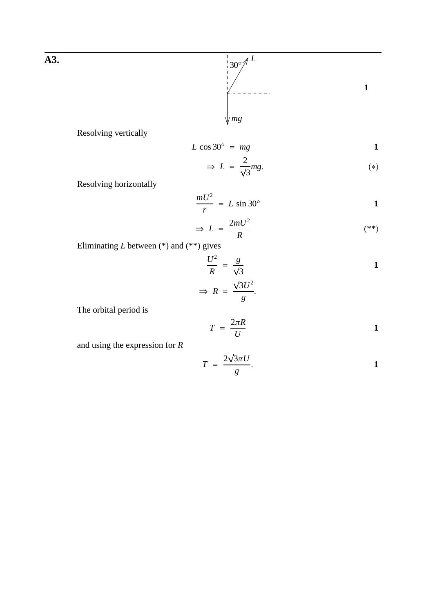

**1**

Resolving vertically

$$
L\cos 30^\circ = mg
$$
 1

$$
\Rightarrow L = \frac{2}{\sqrt{3}}mg.
$$
 (\*)

Resolving horizontally

$$
\frac{mU^2}{r} = L \sin 30^\circ
$$

$$
\Rightarrow L = \frac{2mU^2}{R} \tag{**}
$$

Eliminating *L* between (\*) and (\*\*) gives

$$
\frac{U^2}{R} = \frac{g}{\sqrt{3}}
$$
  
\n
$$
\Rightarrow R = \frac{\sqrt{3}U^2}{g}.
$$

The orbital period is

$$
T = \frac{2\pi R}{U}
$$

and using the expression for *R*

$$
T = \frac{2\sqrt{3\pi U}}{g}.
$$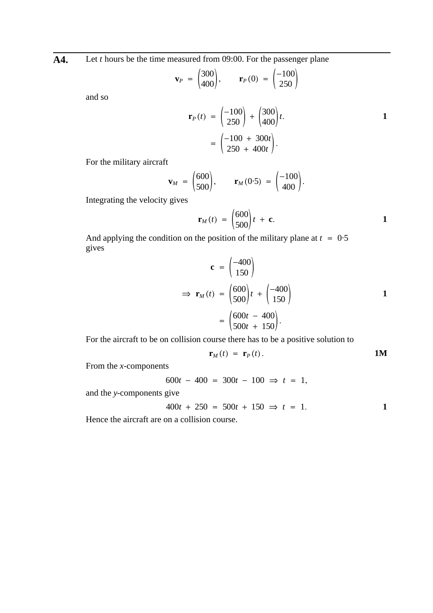**A4.** Let *t* hours be the time measured from 09:00. For the passenger plane

$$
\mathbf{v}_P = \begin{pmatrix} 300 \\ 400 \end{pmatrix}, \qquad \mathbf{r}_P(0) = \begin{pmatrix} -100 \\ 250 \end{pmatrix}
$$

and so

$$
\mathbf{r}_P(t) = \begin{pmatrix} -100 \\ 250 \end{pmatrix} + \begin{pmatrix} 300 \\ 400 \end{pmatrix} t.
$$
  
=  $\begin{pmatrix} -100 + 300t \\ 250 + 400t \end{pmatrix}.$ 

For the military aircraft

$$
\mathbf{v}_M = \begin{pmatrix} 600 \\ 500 \end{pmatrix}, \qquad \mathbf{r}_M(0.5) = \begin{pmatrix} -100 \\ 400 \end{pmatrix}.
$$

Integrating the velocity gives

$$
\mathbf{r}_M(t) = \begin{pmatrix} 600 \\ 500 \end{pmatrix} t + \mathbf{c}.
$$

And applying the condition on the position of the military plane at  $t = 0.5$ gives

$$
\mathbf{c} = \begin{pmatrix} -400 \\ 150 \end{pmatrix}
$$
  
\n
$$
\Rightarrow \mathbf{r}_M(t) = \begin{pmatrix} 600 \\ 500 \end{pmatrix} t + \begin{pmatrix} -400 \\ 150 \end{pmatrix}
$$
  
\n
$$
= \begin{pmatrix} 600t - 400 \\ 500t + 150 \end{pmatrix}.
$$

For the aircraft to be on collision course there has to be a positive solution to

$$
\mathbf{r}_M(t) = \mathbf{r}_P(t). \qquad \qquad 1M
$$

From the *x*-components

$$
600t - 400 = 300t - 100 \Rightarrow t = 1,
$$

and the *y*-components give

$$
400t + 250 = 500t + 150 \Rightarrow t = 1.
$$

Hence the aircraft are on a collision course.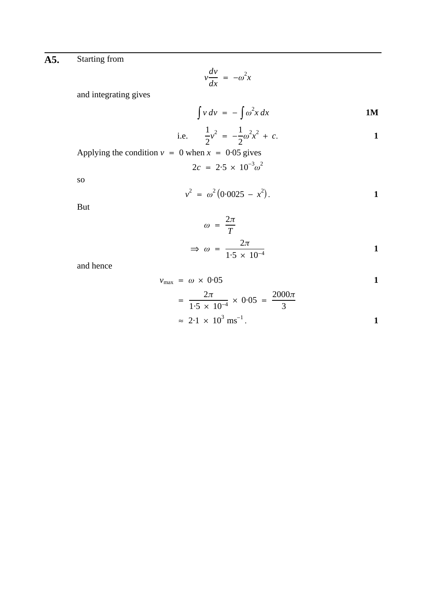### **A5.** Starting from

$$
v\frac{dv}{dx} = -\omega^2 x
$$

and integrating gives

$$
\int v \, dv = -\int \omega^2 x \, dx \tag{1M}
$$

i.e. 
$$
\frac{1}{2}v^2 = -\frac{1}{2}\omega^2 x^2 + c.
$$

Applying the condition  $v = 0$  when  $x = 0.05$  gives

$$
2c = 2.5 \times 10^{-3} \omega^2
$$

so

$$
v^2 = \omega^2 (0.0025 - x^2).
$$

But

$$
\omega = \frac{2\pi}{T}
$$
  
\n
$$
\Rightarrow \omega = \frac{2\pi}{1.5 \times 10^{-4}}
$$

and hence

$$
v_{\text{max}} = \omega \times 0.05
$$
  
=  $\frac{2\pi}{1.5 \times 10^{-4}} \times 0.05 = \frac{2000\pi}{3}$   
 $\approx 2.1 \times 10^{3} \text{ ms}^{-1}$ .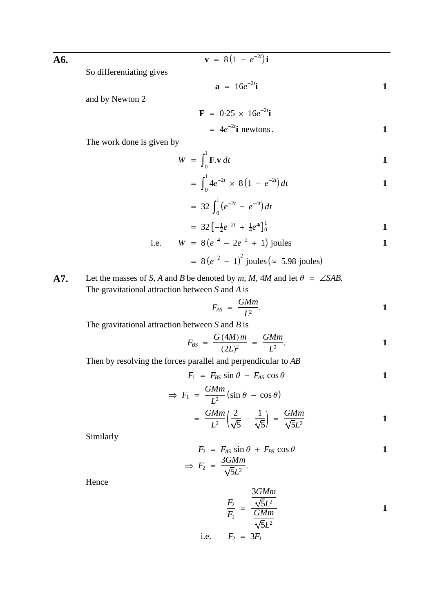**A6.** So differentiating gives 
$$
\mathbf{v} = 8(1 - e^{-2t})\mathbf{i}
$$

So differentiating gives

$$
\mathbf{a} = 16e^{-2t}\mathbf{i}
$$

and by Newton 2

$$
\mathbf{F} = 0.25 \times 16e^{-2t} \mathbf{i}
$$
  
=  $4e^{-2t} \mathbf{i}$  newtons.

The work done is given by

$$
W = \int_0^1 \mathbf{F} \cdot \mathbf{v} \, dt
$$

$$
= \int_0^1 4e^{-2t} \times 8(1 - e^{-2t}) dt
$$

$$
= 32 \int_0^1 (e^{-2t} - e^{-4t}) dt
$$

$$
= 32 \left[ -\frac{1}{2} e^{-2t} + \frac{1}{4} e^{4t} \right]_0^1
$$

i.e. 
$$
W = 8(e^{-4} - 2e^{-2} + 1)
$$
 joules

= 
$$
8(e^{-2} - 1)^2
$$
 joules (= 5.98 joules)

**A7.** Let the masses of *S*, *A* and *B* be denoted by *m*, *M*, 4*M* and let  $\theta = \angle SAB$ . The gravitational attraction between *S* and *A* is

$$
F_{AS} = \frac{GMm}{L^2}.
$$

The gravitational attraction between *S* and *B* is

$$
F_{BS} = \frac{G (4M) m}{(2L)^2} = \frac{GMm}{L^2}.
$$

Then by resolving the forces parallel and perpendicular to *AB*

$$
F_1 = F_{BS} \sin \theta - F_{AS} \cos \theta \qquad 1
$$

$$
\Rightarrow F_1 = \frac{GMm}{L^2} (\sin \theta - \cos \theta)
$$

$$
= \frac{GMm}{L^2} \left(\frac{2}{\sqrt{5}} - \frac{1}{\sqrt{5}}\right) = \frac{GMm}{\sqrt{5}L^2}
$$

Similarly

$$
F_2 = F_{AS} \sin \theta + F_{BS} \cos \theta
$$
  
\n
$$
\Rightarrow F_2 = \frac{3G M m}{\sqrt{5}L^2}.
$$

Hence

$$
\frac{F_2}{F_1} = \frac{\frac{3G M m}{\sqrt{5}L^2}}{\frac{GM m}{\sqrt{5}L^2}}
$$

i.e. 
$$
F_2 = 3F_1
$$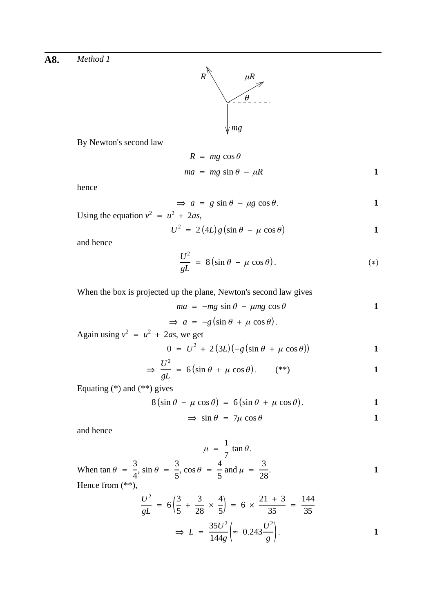

By Newton's second law

$$
R = mg \cos \theta
$$
  

$$
ma = mg \sin \theta - \mu R
$$

hence

$$
\Rightarrow a = g \sin \theta - \mu g \cos \theta.
$$

Using the equation  $v^2 = u^2 + 2as$ ,

$$
U^2 = 2(4L)g(\sin\theta - \mu\cos\theta)
$$
 1

and hence

$$
\frac{U^2}{gL} = 8(\sin \theta - \mu \cos \theta). \tag{*}
$$

When the box is projected up the plane, Newton's second law gives

$$
ma = -mg \sin \theta - \mu mg \cos \theta \qquad 1
$$

$$
\Rightarrow a = -g(\sin \theta + \mu \cos \theta).
$$

Again using  $v^2 = u^2 + 2as$ , we get

$$
0 = U^2 + 2(3L)(-g(\sin \theta + \mu \cos \theta)) \tag{1}
$$

$$
\Rightarrow \frac{U^2}{gL} = 6(\sin \theta + \mu \cos \theta). \qquad (*)
$$

Equating (\*) and (\*\*) gives

$$
8\left(\sin\theta - \mu\cos\theta\right) = 6\left(\sin\theta + \mu\cos\theta\right).
$$

$$
\Rightarrow \sin \theta = 7\mu \cos \theta \tag{1}
$$

and hence

 $\mu = \frac{1}{7}$ 7 tan *θ*. When  $\tan \theta = \frac{3}{4}$ ,  $\sin \theta = \frac{3}{5}$ ,  $\cos \theta = \frac{4}{5}$  and  $\mu = \frac{3}{28}$ . 4  $\sin \theta = \frac{3}{5}$ 5  $\cos \theta = \frac{4}{5}$  and  $\mu = \frac{3}{28}$ Hence from (\*\*),

$$
\frac{U^2}{gL} = 6\left(\frac{3}{5} + \frac{3}{28} \times \frac{4}{5}\right) = 6 \times \frac{21 + 3}{35} = \frac{144}{35}
$$

$$
\Rightarrow L = \frac{35U^2}{144g} \approx 0.243 \frac{U^2}{g}.
$$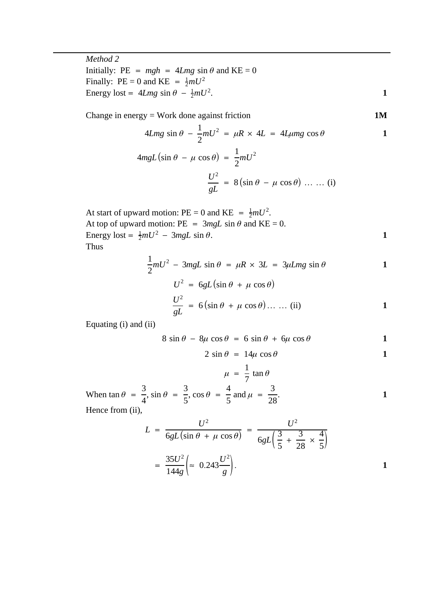*Method 2* Initially:  $PE = mgh = 4Lmg \sin \theta$  and  $KE = 0$ Finally:  $PE = 0$  and  $KE = \frac{1}{2}mU^2$ Energy lost =  $4Lmg \sin \theta - \frac{1}{2}mU^2$ .

Change in energy = Work done against friction 
$$
1M
$$

$$
4Lmg\sin\theta - \frac{1}{2}mU^2 = \mu R \times 4L = 4L\mu mg\cos\theta
$$
 1

$$
4mgL\left(\sin\theta - \mu\cos\theta\right) = \frac{1}{2}mU^2
$$

$$
\frac{U^2}{gL} = 8\left(\sin\theta - \mu\cos\theta\right) \dots \dots (i)
$$

At start of upward motion: PE = 0 and KE = 
$$
\frac{1}{2}mU^2
$$
.  
At top of upward motion: PE = 3mgL sin  $\theta$  and KE = 0.  
Energy lost =  $\frac{1}{2}mU^2 - 3mgL \sin \theta$ .  
Thus

Thus

$$
\frac{1}{2}mU^2 - 3mgL\sin\theta = \mu R \times 3L = 3\mu Lmg\sin\theta
$$
 1

$$
U^{2} = 6gL(\sin \theta + \mu \cos \theta)
$$
  

$$
\frac{U^{2}}{gL} = 6(\sin \theta + \mu \cos \theta) \dots \dots (ii)
$$

Equating (i) and (ii)

$$
8 \sin \theta - 8\mu \cos \theta = 6 \sin \theta + 6\mu \cos \theta
$$
 1

$$
2 \sin \theta = 14\mu \cos \theta \qquad \qquad 1
$$

$$
\mu = \frac{1}{7} \tan \theta
$$
  
When  $\tan \theta = \frac{3}{4}$ ,  $\sin \theta = \frac{3}{5}$ ,  $\cos \theta = \frac{4}{5}$  and  $\mu = \frac{3}{28}$ .  
Hence from (ii),

$$
L = \frac{U^2}{6gL(\sin\theta + \mu\cos\theta)} = \frac{U^2}{6gL(\frac{3}{5} + \frac{3}{28} \times \frac{4}{5})}
$$

$$
= \frac{35U^2}{144g} \approx 0.243 \frac{U^2}{g}.
$$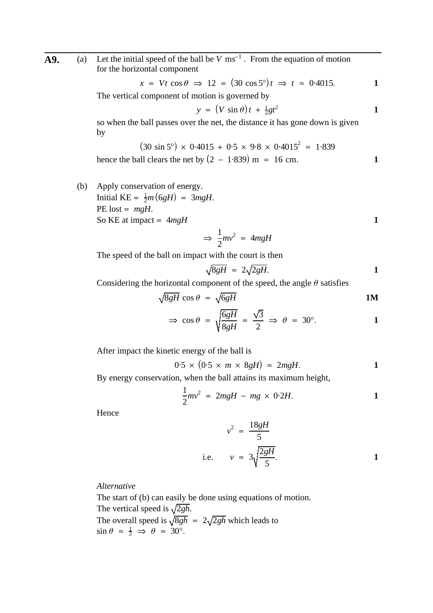**A9.** (a) Let the initial speed of the ball be  $V$  ms<sup>-1</sup>. From the equation of motion for the horizontal component

$$
x = Vt \cos \theta \implies 12 = (30 \cos 5^{\circ})t \implies t \approx 0.4015.
$$

The vertical component of motion is governed by

$$
y = (V \sin \theta) t + \frac{1}{2}gt^2
$$

so when the ball passes over the net, the distance it has gone down is given by

$$
(30 \sin 5^{\circ}) \times 0.4015 + 0.5 \times 9.8 \times 0.4015^{2} \approx 1.839
$$
  
hence the ball clears the net by  $(2 - 1.839)$  m  $\approx 16$  cm.

(b) Apply conservation of energy. Initial  $KE = \frac{1}{2}m(6gH) = 3mgH$ . PE lost =  $mgH$ . So KE at impact =  $4mgH$  **1** 

$$
\Rightarrow \frac{1}{2}mv^2 = 4mgH
$$

The speed of the ball on impact with the court is then

$$
\sqrt{8gH} = 2\sqrt{2gH}.
$$

Considering the horizontal component of the speed, the angle  $\theta$  satisfies

$$
\sqrt{8gH} \cos \theta = \sqrt{6gH} \qquad 1M
$$

$$
\Rightarrow \cos \theta = \sqrt{\frac{6gH}{8gH}} = \frac{\sqrt{3}}{2} \Rightarrow \theta = 30^{\circ}.
$$

After impact the kinetic energy of the ball is

$$
0.5 \times (0.5 \times m \times 8gH) = 2mgH.
$$

By energy conservation, when the ball attains its maximum height,

$$
\frac{1}{2}mv^2 = 2mgH - mg \times 0.2H.
$$

Hence

$$
v^2 = \frac{18gH}{5}
$$
  
i.e. 
$$
v = 3\sqrt{\frac{2gH}{5}}.
$$

*Alternative*

The start of (b) can easily be done using equations of motion. The vertical speed is  $\sqrt{2gh}$ . The overall speed is  $\sqrt{8gh}$  =  $2\sqrt{2gh}$  which leads to  $\sin \theta = \frac{1}{2} \implies \theta = 30^{\circ}.$